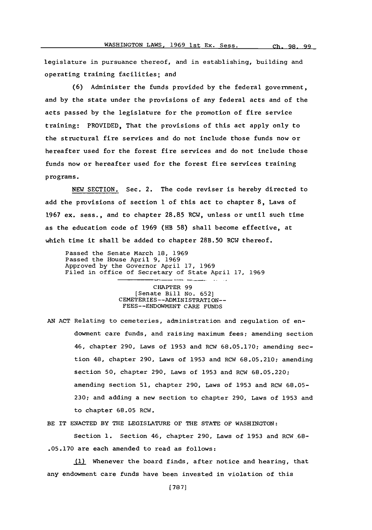legislature in pursuance thereof, and in establishing, building and operating training facilities; and

**(6)** Administer the funds provided **by** the federal government, and **by** the state under the provisions of any federal acts and of the acts passed **by** the legislature for the promotion of fire service training: PROVIDED, That the provisions of this act apply only to the structural fire services and do not include those funds now or hereafter used for the forest fire services and do not include those funds now or hereafter used for the forest fire services training programs.

**NEW SECTION.** Sec. 2. The code reviser is hereby directed to add the provisions of section 1 of this act to chapter **8,** Laws of **1967** ex. sess., and to chapter **28.85** RCW, unless or until such time as the education code of **1969** (HB **58)** shall become effective, at which time it shall be added to chapter **28B.50** RCW thereof.

Passed the Senate March **18, 1969** Passed the House April **9, 1969** Approved **by** the Governor April **17, 1969** Filed in office of Secretary of State April **17, 1969**

> CHAPTER **99** [Senate Bill No. **652]** CEMETERIES--ADMINISTRATI ON-- **FEES--ENDOWMENT** CARE **FUNDS**

**AN ACT** Relating to cemeteries, administration and regulation of endowment care funds, and raising maximum fees; amending section 46, chapter **290,** Laws of **1953** and RCW **68.05.170;** amending section 48, chapter **290,** Laws of **1953** and RCW **68.05.210;** amending section **50,** chapter **290,** Laws of **1953** and RCW **68.05.220;** amending section **51,** chapter **290,** Laws of **1953** and RCW **68.05- 230;** and adding a new section to chapter **290,** Laws of **1953** and to chapter **68.05** RCW.

BE IT **ENACTED** BY THE LEGISLATURE OF THE **STATE** OF **WASHINGTON:**

Section **1.** Section 46, chapter **290,** Laws of **1953** and RCW.68- **.05.170** are each amended to read as follows:

**(1)** Whenever the board finds, after notice and hearing, that any endowment care funds have been invested in violation of this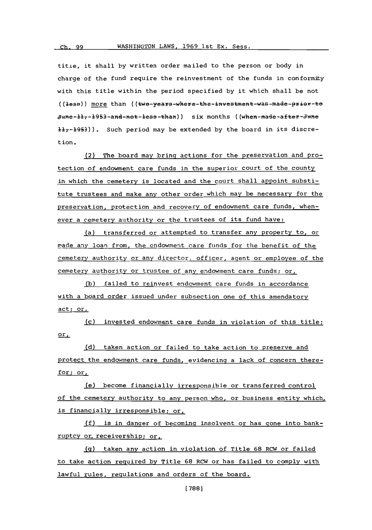**title,** it shall **by** written order mailed to the person or body in charge of the fund require the reinvestment of the funds in conformity with this title within the period specified **by** it which shall be not ((less)) more than ((twe-years-where-the-investment-was-made-prior-to  $June-l1<sub>7</sub>-1953-and-net-lea-len)$  six months ((when-made-after-June  $\frac{11}{7}$ -1953)). Such period may be extended by the board in its discretion.

(2) The board may bring actions for the preservation and protection of endowment care funds in the superior court of the county in which the cemetery is located and the court shall appoint substitute trustees and make any other order which nay be necessary for the preservation, protection and recovery of endowment care funds, whenever a cemetery authority or the trustees of its fund have:

(a) transferred or attempted to transfer any property to, or made any loan from, the endowment care funds for the benefit of the cemetery authority or any director, officer, agent or employee of the cemetery authority or trustee of any endowment care funds; or,

**Mb** failed to reinvest endowment care funds in accordance with a board order issued under subsection one of this amendatory act; or.

(c) invested endowment care funds in violation of this title; or,

(d) taken action or failed to take action to preserve and protect the endowment care funds, evidencing a lack of concern therefor; or,

(e) become financially irresponsible or transferred control of the cemetery authority to any person who, or business entity which, is financially irresponsible; or,

**(f)** is in danger of becoming insolvent or has gone into bankruptcy or, receivership; or,

**Mg** taken any action in violation of Title **68** RCW or failed to take action required **by** Title **68** RCW or has failed to comply with lawful rules, regulations and orders of the board.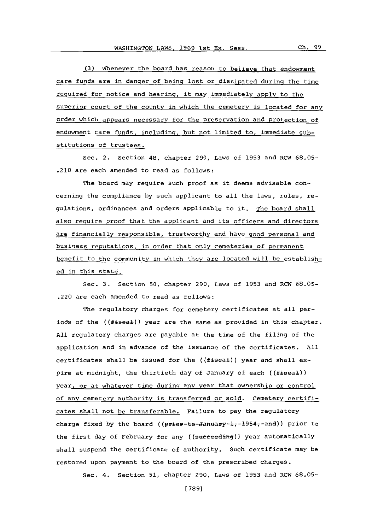**(3)** Whenever the board has reason to believe that endowment care funds are in danger of being lost or dissipated during the time required for notice and hearing, it may immediately apply to the superior court of the county in which the cemetery is located for any order which appears necessary for the preservation and protection of endowment care funds, including, but not limited to, immediate substitutions of trustees.

Sec. 2, Section 48, chapter **290,** Laws of **1953** and RCW **68.05-** .210 are each amended to read as follows:

The board may require such proof as it deems advisable concerning the compliance **by** such applicant to all the laws, rules, regulations, ordinances and orders applicable to it. The board shall also reguire proof that the applicant and its officers and directors are financially responsible, trustworthy and have good personal and business reputations, in order that only cemeteries of permanent benefit to the community in which they are located will be established in this state.

Sec. **3.** Section **50,** chapter **290,** Laws of **1953** and RC-W **68.05-** .220 are each amended to read as follows:

The regulatory charges for cemetery certificates at all periods of the (( $f$ ieeal)) year are the same as provided in this chapter. **All** regulatory charges are payable at the time of the filing of the application and in advance of the issuance of the certificates. **All** certificates shall be issued for the  $($ {fiseal)) year and shall expire at midnight, the thirtieth day of January of each ((fiseal)) year, or at whatever time during any year that ownership or control of any cemetery authority is transferred or sold. Cemetery certificates shall not be transferable. Failure to pay the regulatory charge fixed by the board ((prior-to-January-1,-1954,-and)) prior to the first day **of** February for any ((sueeeedinq)) year automatically shall suspend the certificate of authority. Such certificate may be restored upon payment to the board of the prescribed charges.

Sec. 4. Section **51,** chapter **290,** Laws of **1953** and RCW **68.05-**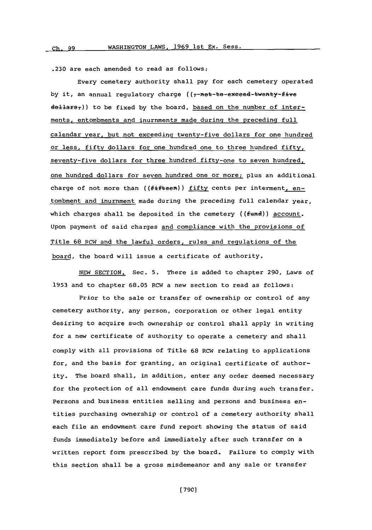**.230** are each amended to read as follows:

Every cemetery authority shall pay for each cemetery operated by it, an annual regulatory charge ((7-net-te-exceed-twenty-five dellars<sub>7</sub>)) to be fixed by the board, based on the number of interments, entombnents and inurnments made during the preceding full calendar year, but not exceeding twenty-five dollars for one hundred or less, **fifty** dollars for one hundred one to three hundred fifty, seventy-five dollars for three hundred fifty-one to seven hundred, one hundred dollars for seven hundred one or more; plus an additional charge of not more than ((fifteen)) fifty cents per interment, entombment and inurnment made during the preceding full calendar year, which charges shall be deposited in the cemetery ((fund)) account. Upon payment of said charges and compliance with the provisions of Title **68** RCW and the lawful orders, rules and regulations of the board, the board will issue a certificate of authority.

**NEW** SECTION. Sec. **5.** There is added to chapter **290,** Laws of **1953** and to chapter **68.05** RCW a new section to read as follows:

Prior to the sale or transfer of ownership or control of any cemetery authority, any person, corporation or other legal entity desiring to acquire such ownership or control shall apply in writing for a new certificate of authority to operate a cemetery and shall comply with all provisions **of** Title **68** RCW relating to applications for, and the basis for granting, an original certificate of authority. The board shall, in addition, enter any order deemed necessary for the protection of all endowment care funds during such transfer. Persons and business entities selling and persons and business entities purchasing ownership or control of a cemetery authority shall each file an endowment care fund report showing the status of said funds immediately before and immediately after such transfer on a written report form prescribed **by** the board. Failure to comply with this section shall be a gross misdemeanor and any sale or transfer

**[ 7901**